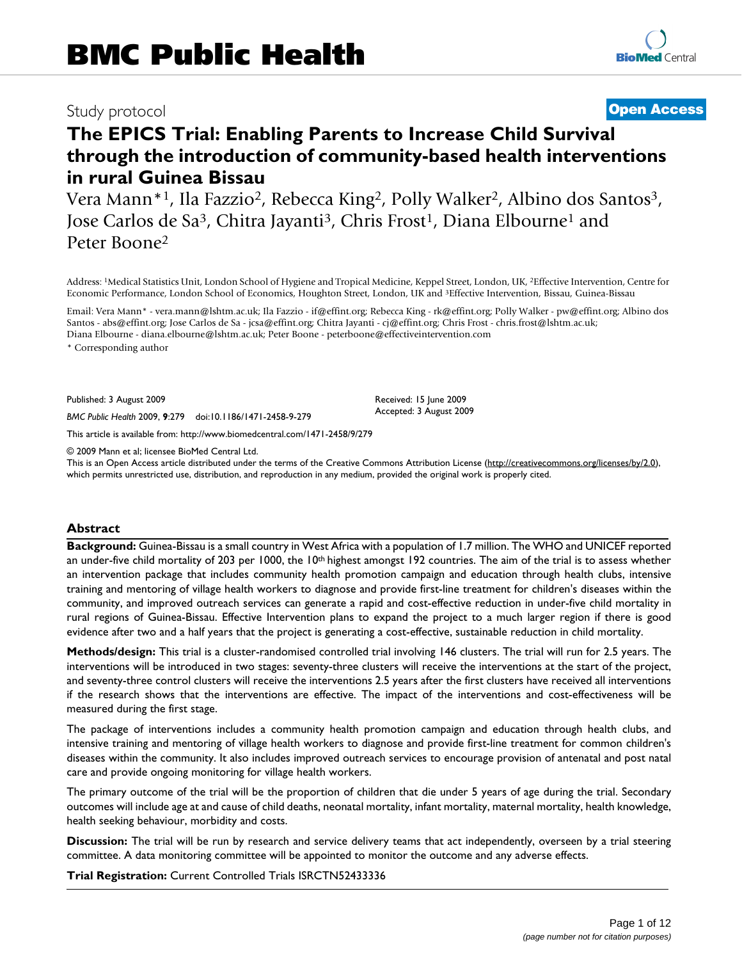# Study protocol **[Open Access](http://www.biomedcentral.com/info/about/charter/)**

# **The EPICS Trial: Enabling Parents to Increase Child Survival through the introduction of community-based health interventions in rural Guinea Bissau**

Vera Mann<sup>\*1</sup>, Ila Fazzio<sup>2</sup>, Rebecca King<sup>2</sup>, Polly Walker<sup>2</sup>, Albino dos Santos<sup>3</sup>, Jose Carlos de Sa<sup>3</sup>, Chitra Jayanti<sup>3</sup>, Chris Frost<sup>1</sup>, Diana Elbourne<sup>1</sup> and Peter Boone2

Address: 1Medical Statistics Unit, London School of Hygiene and Tropical Medicine, Keppel Street, London, UK, 2Effective Intervention, Centre for Economic Performance, London School of Economics, Houghton Street, London, UK and 3Effective Intervention, Bissau, Guinea-Bissau

Email: Vera Mann\* - vera.mann@lshtm.ac.uk; Ila Fazzio - if@effint.org; Rebecca King - rk@effint.org; Polly Walker - pw@effint.org; Albino dos Santos - abs@effint.org; Jose Carlos de Sa - jcsa@effint.org; Chitra Jayanti - cj@effint.org; Chris Frost - chris.frost@lshtm.ac.uk; Diana Elbourne - diana.elbourne@lshtm.ac.uk; Peter Boone - peterboone@effectiveintervention.com

> Received: 15 June 2009 Accepted: 3 August 2009

\* Corresponding author

Published: 3 August 2009

*BMC Public Health* 2009, **9**:279 doi:10.1186/1471-2458-9-279

[This article is available from: http://www.biomedcentral.com/1471-2458/9/279](http://www.biomedcentral.com/1471-2458/9/279)

© 2009 Mann et al; licensee BioMed Central Ltd.

This is an Open Access article distributed under the terms of the Creative Commons Attribution License [\(http://creativecommons.org/licenses/by/2.0\)](http://creativecommons.org/licenses/by/2.0), which permits unrestricted use, distribution, and reproduction in any medium, provided the original work is properly cited.

### **Abstract**

**Background:** Guinea-Bissau is a small country in West Africa with a population of 1.7 million. The WHO and UNICEF reported an under-five child mortality of 203 per 1000, the 10<sup>th</sup> highest amongst 192 countries. The aim of the trial is to assess whether an intervention package that includes community health promotion campaign and education through health clubs, intensive training and mentoring of village health workers to diagnose and provide first-line treatment for children's diseases within the community, and improved outreach services can generate a rapid and cost-effective reduction in under-five child mortality in rural regions of Guinea-Bissau. Effective Intervention plans to expand the project to a much larger region if there is good evidence after two and a half years that the project is generating a cost-effective, sustainable reduction in child mortality.

**Methods/design:** This trial is a cluster-randomised controlled trial involving 146 clusters. The trial will run for 2.5 years. The interventions will be introduced in two stages: seventy-three clusters will receive the interventions at the start of the project, and seventy-three control clusters will receive the interventions 2.5 years after the first clusters have received all interventions if the research shows that the interventions are effective. The impact of the interventions and cost-effectiveness will be measured during the first stage.

The package of interventions includes a community health promotion campaign and education through health clubs, and intensive training and mentoring of village health workers to diagnose and provide first-line treatment for common children's diseases within the community. It also includes improved outreach services to encourage provision of antenatal and post natal care and provide ongoing monitoring for village health workers.

The primary outcome of the trial will be the proportion of children that die under 5 years of age during the trial. Secondary outcomes will include age at and cause of child deaths, neonatal mortality, infant mortality, maternal mortality, health knowledge, health seeking behaviour, morbidity and costs.

**Discussion:** The trial will be run by research and service delivery teams that act independently, overseen by a trial steering committee. A data monitoring committee will be appointed to monitor the outcome and any adverse effects.

**Trial Registration:** Current Controlled Trials ISRCTN52433336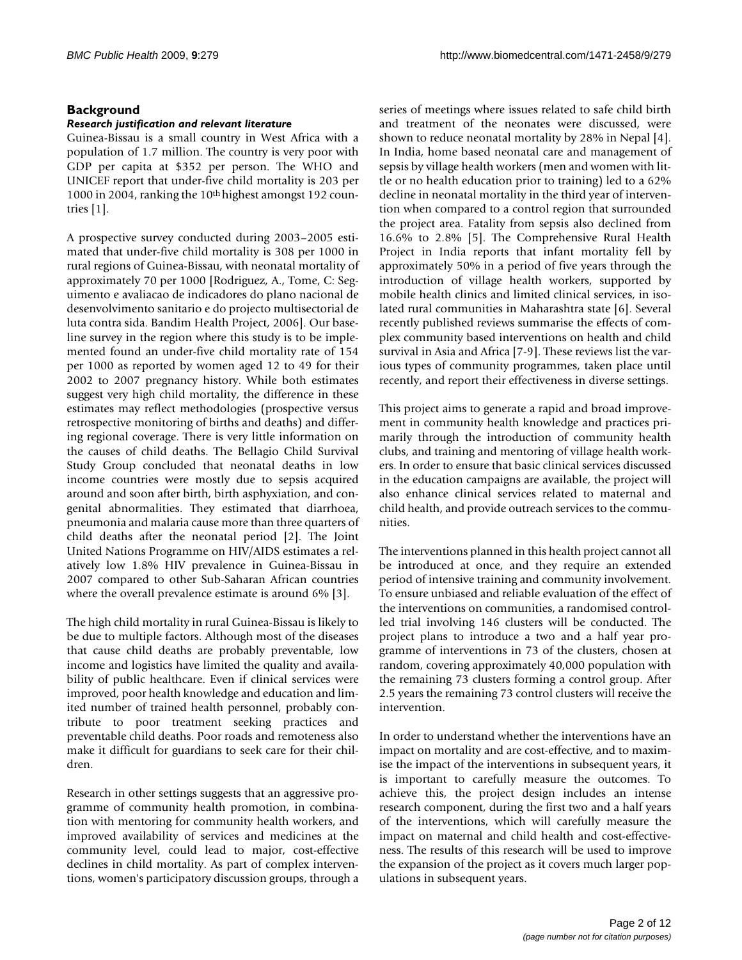# **Background**

#### *Research justification and relevant literature*

Guinea-Bissau is a small country in West Africa with a population of 1.7 million. The country is very poor with GDP per capita at \$352 per person. The WHO and UNICEF report that under-five child mortality is 203 per 1000 in 2004, ranking the 10th highest amongst 192 countries [1].

A prospective survey conducted during 2003–2005 estimated that under-five child mortality is 308 per 1000 in rural regions of Guinea-Bissau, with neonatal mortality of approximately 70 per 1000 [Rodriguez, A., Tome, C: Seguimento e avaliacao de indicadores do plano nacional de desenvolvimento sanitario e do projecto multisectorial de luta contra sida. Bandim Health Project, 2006]. Our baseline survey in the region where this study is to be implemented found an under-five child mortality rate of 154 per 1000 as reported by women aged 12 to 49 for their 2002 to 2007 pregnancy history. While both estimates suggest very high child mortality, the difference in these estimates may reflect methodologies (prospective versus retrospective monitoring of births and deaths) and differing regional coverage. There is very little information on the causes of child deaths. The Bellagio Child Survival Study Group concluded that neonatal deaths in low income countries were mostly due to sepsis acquired around and soon after birth, birth asphyxiation, and congenital abnormalities. They estimated that diarrhoea, pneumonia and malaria cause more than three quarters of child deaths after the neonatal period [2]. The Joint United Nations Programme on HIV/AIDS estimates a relatively low 1.8% HIV prevalence in Guinea-Bissau in 2007 compared to other Sub-Saharan African countries where the overall prevalence estimate is around 6% [3].

The high child mortality in rural Guinea-Bissau is likely to be due to multiple factors. Although most of the diseases that cause child deaths are probably preventable, low income and logistics have limited the quality and availability of public healthcare. Even if clinical services were improved, poor health knowledge and education and limited number of trained health personnel, probably contribute to poor treatment seeking practices and preventable child deaths. Poor roads and remoteness also make it difficult for guardians to seek care for their children.

Research in other settings suggests that an aggressive programme of community health promotion, in combination with mentoring for community health workers, and improved availability of services and medicines at the community level, could lead to major, cost-effective declines in child mortality. As part of complex interventions, women's participatory discussion groups, through a

series of meetings where issues related to safe child birth and treatment of the neonates were discussed, were shown to reduce neonatal mortality by 28% in Nepal [4]. In India, home based neonatal care and management of sepsis by village health workers (men and women with little or no health education prior to training) led to a 62% decline in neonatal mortality in the third year of intervention when compared to a control region that surrounded the project area. Fatality from sepsis also declined from 16.6% to 2.8% [5]. The Comprehensive Rural Health Project in India reports that infant mortality fell by approximately 50% in a period of five years through the introduction of village health workers, supported by mobile health clinics and limited clinical services, in isolated rural communities in Maharashtra state [6]. Several recently published reviews summarise the effects of complex community based interventions on health and child survival in Asia and Africa [7-9]. These reviews list the various types of community programmes, taken place until recently, and report their effectiveness in diverse settings.

This project aims to generate a rapid and broad improvement in community health knowledge and practices primarily through the introduction of community health clubs, and training and mentoring of village health workers. In order to ensure that basic clinical services discussed in the education campaigns are available, the project will also enhance clinical services related to maternal and child health, and provide outreach services to the communities.

The interventions planned in this health project cannot all be introduced at once, and they require an extended period of intensive training and community involvement. To ensure unbiased and reliable evaluation of the effect of the interventions on communities, a randomised controlled trial involving 146 clusters will be conducted. The project plans to introduce a two and a half year programme of interventions in 73 of the clusters, chosen at random, covering approximately 40,000 population with the remaining 73 clusters forming a control group. After 2.5 years the remaining 73 control clusters will receive the intervention.

In order to understand whether the interventions have an impact on mortality and are cost-effective, and to maximise the impact of the interventions in subsequent years, it is important to carefully measure the outcomes. To achieve this, the project design includes an intense research component, during the first two and a half years of the interventions, which will carefully measure the impact on maternal and child health and cost-effectiveness. The results of this research will be used to improve the expansion of the project as it covers much larger populations in subsequent years.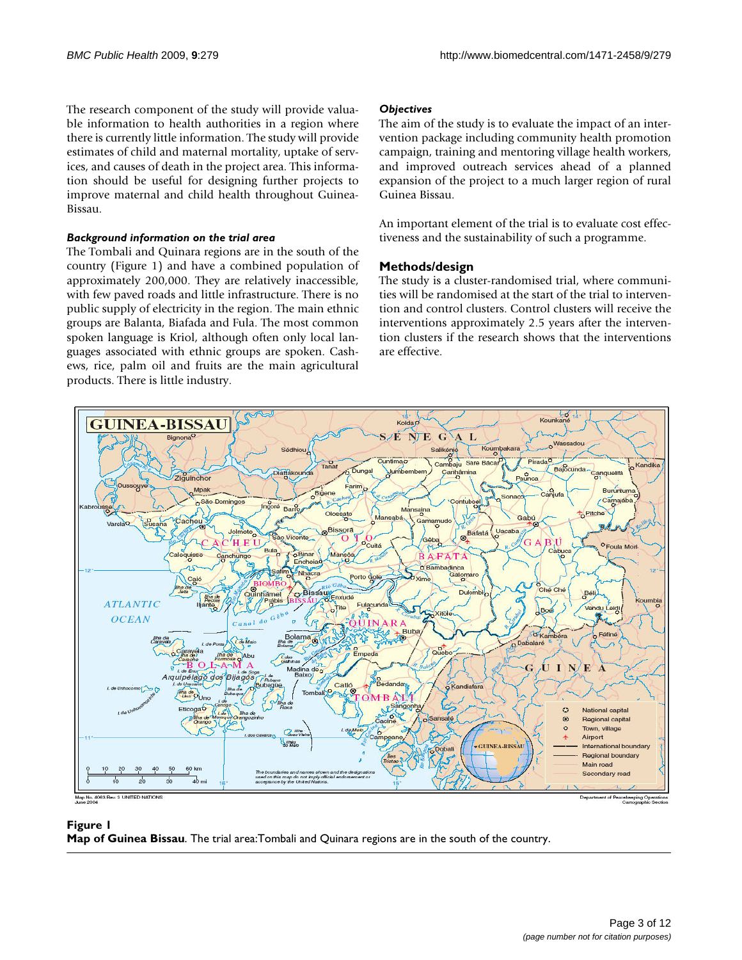The research component of the study will provide valuable information to health authorities in a region where there is currently little information. The study will provide estimates of child and maternal mortality, uptake of services, and causes of death in the project area. This information should be useful for designing further projects to improve maternal and child health throughout Guinea-Bissau.

#### *Background information on the trial area*

The Tombali and Quinara regions are in the south of the country (Figure 1) and have a combined population of approximately 200,000. They are relatively inaccessible, with few paved roads and little infrastructure. There is no public supply of electricity in the region. The main ethnic groups are Balanta, Biafada and Fula. The most common spoken language is Kriol, although often only local languages associated with ethnic groups are spoken. Cashews, rice, palm oil and fruits are the main agricultural products. There is little industry.

#### *Objectives*

The aim of the study is to evaluate the impact of an intervention package including community health promotion campaign, training and mentoring village health workers, and improved outreach services ahead of a planned expansion of the project to a much larger region of rural Guinea Bissau.

An important element of the trial is to evaluate cost effectiveness and the sustainability of such a programme.

### **Methods/design**

The study is a cluster-randomised trial, where communities will be randomised at the start of the trial to intervention and control clusters. Control clusters will receive the interventions approximately 2.5 years after the intervention clusters if the research shows that the interventions are effective.



### **Figure 1**

**Map of Guinea Bissau**. The trial area:Tombali and Quinara regions are in the south of the country.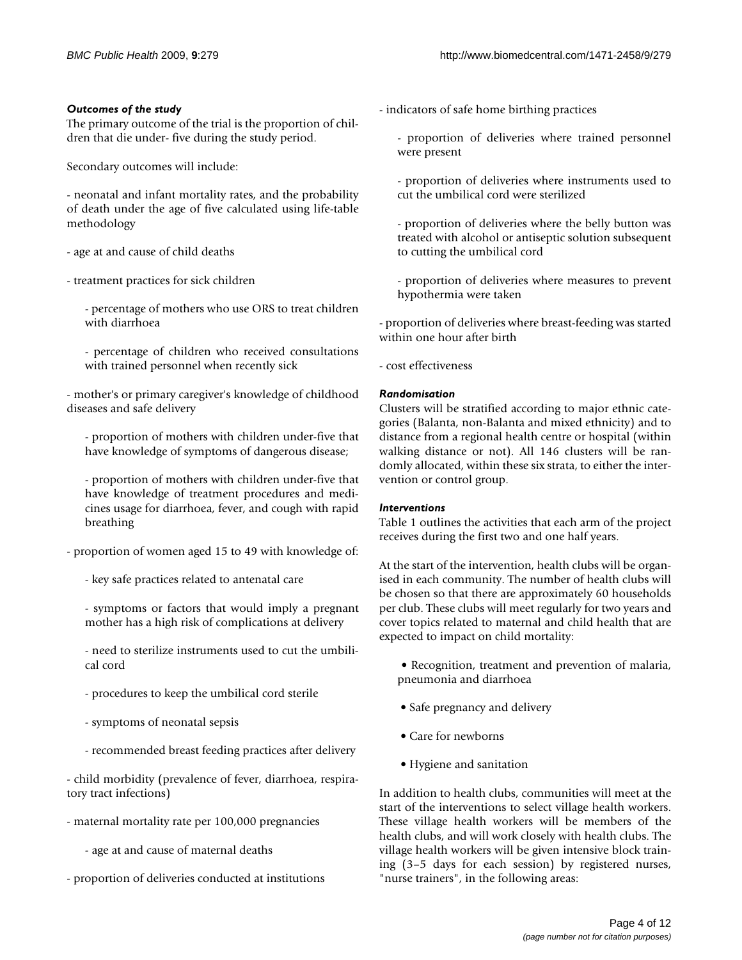#### *Outcomes of the study*

The primary outcome of the trial is the proportion of children that die under- five during the study period.

Secondary outcomes will include:

- neonatal and infant mortality rates, and the probability of death under the age of five calculated using life-table methodology

- age at and cause of child deaths

- treatment practices for sick children

- percentage of mothers who use ORS to treat children with diarrhoea

- percentage of children who received consultations with trained personnel when recently sick

- mother's or primary caregiver's knowledge of childhood diseases and safe delivery

- proportion of mothers with children under-five that have knowledge of symptoms of dangerous disease;

- proportion of mothers with children under-five that have knowledge of treatment procedures and medicines usage for diarrhoea, fever, and cough with rapid breathing

- proportion of women aged 15 to 49 with knowledge of:

- key safe practices related to antenatal care

- symptoms or factors that would imply a pregnant mother has a high risk of complications at delivery

- need to sterilize instruments used to cut the umbilical cord

- procedures to keep the umbilical cord sterile
- symptoms of neonatal sepsis
- recommended breast feeding practices after delivery

- child morbidity (prevalence of fever, diarrhoea, respiratory tract infections)

- maternal mortality rate per 100,000 pregnancies

- age at and cause of maternal deaths

- proportion of deliveries conducted at institutions

- indicators of safe home birthing practices

- proportion of deliveries where trained personnel were present

- proportion of deliveries where instruments used to cut the umbilical cord were sterilized

- proportion of deliveries where the belly button was treated with alcohol or antiseptic solution subsequent to cutting the umbilical cord

- proportion of deliveries where measures to prevent hypothermia were taken

- proportion of deliveries where breast-feeding was started within one hour after birth

- cost effectiveness

#### *Randomisation*

Clusters will be stratified according to major ethnic categories (Balanta, non-Balanta and mixed ethnicity) and to distance from a regional health centre or hospital (within walking distance or not). All 146 clusters will be randomly allocated, within these six strata, to either the intervention or control group.

#### *Interventions*

Table 1 outlines the activities that each arm of the project receives during the first two and one half years.

At the start of the intervention, health clubs will be organised in each community. The number of health clubs will be chosen so that there are approximately 60 households per club. These clubs will meet regularly for two years and cover topics related to maternal and child health that are expected to impact on child mortality:

- Recognition, treatment and prevention of malaria, pneumonia and diarrhoea
- Safe pregnancy and delivery
- Care for newborns
- Hygiene and sanitation

In addition to health clubs, communities will meet at the start of the interventions to select village health workers. These village health workers will be members of the health clubs, and will work closely with health clubs. The village health workers will be given intensive block training (3–5 days for each session) by registered nurses, "nurse trainers", in the following areas: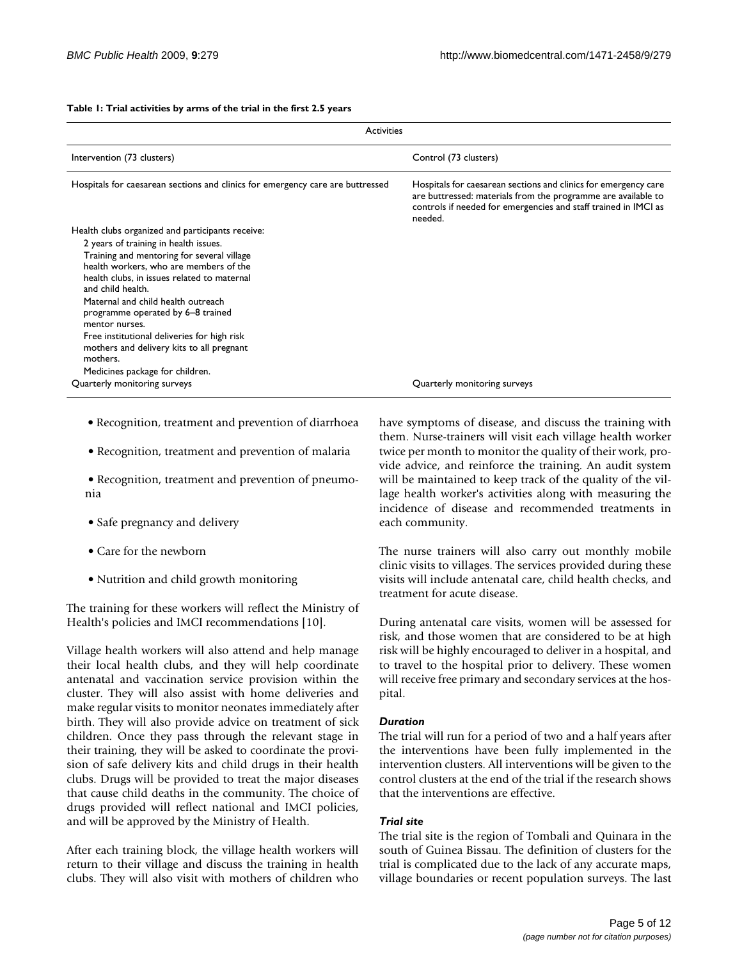#### **Table 1: Trial activities by arms of the trial in the first 2.5 years**

| Activities                                                                                                                                               |                                                                                                                                                                                                                |
|----------------------------------------------------------------------------------------------------------------------------------------------------------|----------------------------------------------------------------------------------------------------------------------------------------------------------------------------------------------------------------|
| Intervention (73 clusters)                                                                                                                               | Control (73 clusters)                                                                                                                                                                                          |
| Hospitals for caesarean sections and clinics for emergency care are buttressed                                                                           | Hospitals for caesarean sections and clinics for emergency care<br>are buttressed: materials from the programme are available to<br>controls if needed for emergencies and staff trained in IMCI as<br>needed. |
| Health clubs organized and participants receive:<br>2 years of training in health issues.                                                                |                                                                                                                                                                                                                |
| Training and mentoring for several village<br>health workers, who are members of the<br>health clubs, in issues related to maternal<br>and child health. |                                                                                                                                                                                                                |
| Maternal and child health outreach<br>programme operated by 6-8 trained<br>mentor nurses.                                                                |                                                                                                                                                                                                                |
| Free institutional deliveries for high risk<br>mothers and delivery kits to all pregnant<br>mothers.                                                     |                                                                                                                                                                                                                |
| Medicines package for children.                                                                                                                          |                                                                                                                                                                                                                |
| Quarterly monitoring surveys                                                                                                                             | Quarterly monitoring surveys                                                                                                                                                                                   |

- Recognition, treatment and prevention of diarrhoea
- Recognition, treatment and prevention of malaria

 • Recognition, treatment and prevention of pneumonia

- Safe pregnancy and delivery
- Care for the newborn
- Nutrition and child growth monitoring

The training for these workers will reflect the Ministry of Health's policies and IMCI recommendations [10].

Village health workers will also attend and help manage their local health clubs, and they will help coordinate antenatal and vaccination service provision within the cluster. They will also assist with home deliveries and make regular visits to monitor neonates immediately after birth. They will also provide advice on treatment of sick children. Once they pass through the relevant stage in their training, they will be asked to coordinate the provision of safe delivery kits and child drugs in their health clubs. Drugs will be provided to treat the major diseases that cause child deaths in the community. The choice of drugs provided will reflect national and IMCI policies, and will be approved by the Ministry of Health.

After each training block, the village health workers will return to their village and discuss the training in health clubs. They will also visit with mothers of children who have symptoms of disease, and discuss the training with them. Nurse-trainers will visit each village health worker twice per month to monitor the quality of their work, provide advice, and reinforce the training. An audit system will be maintained to keep track of the quality of the village health worker's activities along with measuring the incidence of disease and recommended treatments in each community.

The nurse trainers will also carry out monthly mobile clinic visits to villages. The services provided during these visits will include antenatal care, child health checks, and treatment for acute disease.

During antenatal care visits, women will be assessed for risk, and those women that are considered to be at high risk will be highly encouraged to deliver in a hospital, and to travel to the hospital prior to delivery. These women will receive free primary and secondary services at the hospital.

#### *Duration*

The trial will run for a period of two and a half years after the interventions have been fully implemented in the intervention clusters. All interventions will be given to the control clusters at the end of the trial if the research shows that the interventions are effective.

#### *Trial site*

The trial site is the region of Tombali and Quinara in the south of Guinea Bissau. The definition of clusters for the trial is complicated due to the lack of any accurate maps, village boundaries or recent population surveys. The last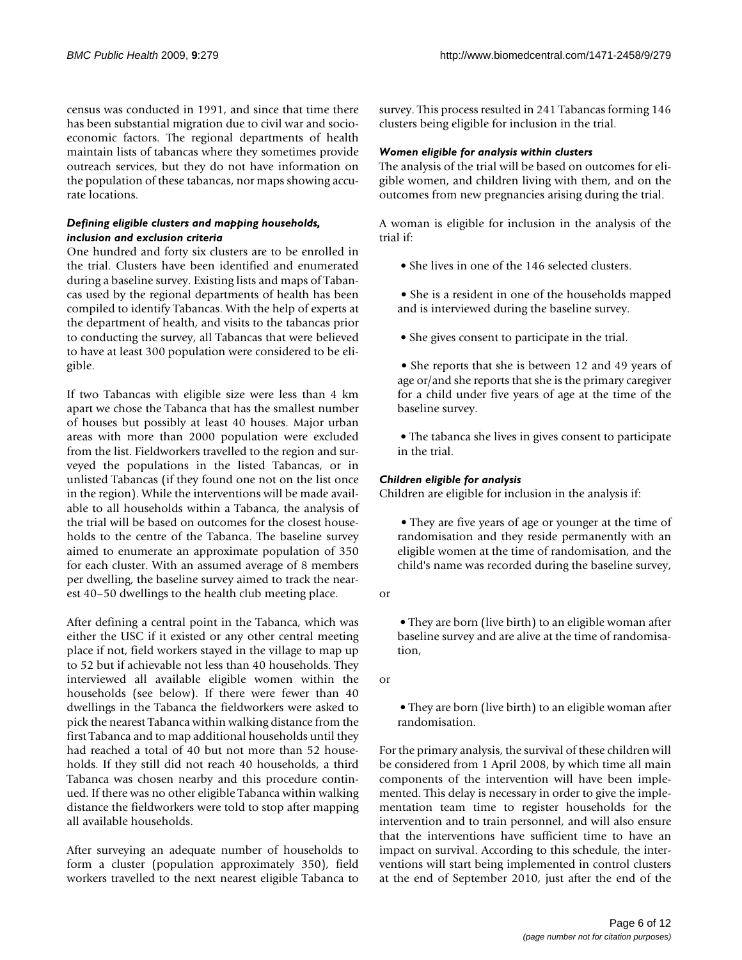census was conducted in 1991, and since that time there has been substantial migration due to civil war and socioeconomic factors. The regional departments of health maintain lists of tabancas where they sometimes provide outreach services, but they do not have information on the population of these tabancas, nor maps showing accurate locations.

#### *Defining eligible clusters and mapping households, inclusion and exclusion criteria*

One hundred and forty six clusters are to be enrolled in the trial. Clusters have been identified and enumerated during a baseline survey. Existing lists and maps of Tabancas used by the regional departments of health has been compiled to identify Tabancas. With the help of experts at the department of health, and visits to the tabancas prior to conducting the survey, all Tabancas that were believed to have at least 300 population were considered to be eligible.

If two Tabancas with eligible size were less than 4 km apart we chose the Tabanca that has the smallest number of houses but possibly at least 40 houses. Major urban areas with more than 2000 population were excluded from the list. Fieldworkers travelled to the region and surveyed the populations in the listed Tabancas, or in unlisted Tabancas (if they found one not on the list once in the region). While the interventions will be made available to all households within a Tabanca, the analysis of the trial will be based on outcomes for the closest households to the centre of the Tabanca. The baseline survey aimed to enumerate an approximate population of 350 for each cluster. With an assumed average of 8 members per dwelling, the baseline survey aimed to track the nearest 40–50 dwellings to the health club meeting place.

After defining a central point in the Tabanca, which was either the USC if it existed or any other central meeting place if not, field workers stayed in the village to map up to 52 but if achievable not less than 40 households. They interviewed all available eligible women within the households (see below). If there were fewer than 40 dwellings in the Tabanca the fieldworkers were asked to pick the nearest Tabanca within walking distance from the first Tabanca and to map additional households until they had reached a total of 40 but not more than 52 households. If they still did not reach 40 households, a third Tabanca was chosen nearby and this procedure continued. If there was no other eligible Tabanca within walking distance the fieldworkers were told to stop after mapping all available households.

After surveying an adequate number of households to form a cluster (population approximately 350), field workers travelled to the next nearest eligible Tabanca to

survey. This process resulted in 241 Tabancas forming 146 clusters being eligible for inclusion in the trial.

#### *Women eligible for analysis within clusters*

The analysis of the trial will be based on outcomes for eligible women, and children living with them, and on the outcomes from new pregnancies arising during the trial.

A woman is eligible for inclusion in the analysis of the trial if:

- She lives in one of the 146 selected clusters.
- She is a resident in one of the households mapped and is interviewed during the baseline survey.
- She gives consent to participate in the trial.
- She reports that she is between 12 and 49 years of age or/and she reports that she is the primary caregiver for a child under five years of age at the time of the baseline survey.
- The tabanca she lives in gives consent to participate in the trial.

# *Children eligible for analysis*

Children are eligible for inclusion in the analysis if:

 • They are five years of age or younger at the time of randomisation and they reside permanently with an eligible women at the time of randomisation, and the child's name was recorded during the baseline survey,

or

 • They are born (live birth) to an eligible woman after baseline survey and are alive at the time of randomisation,

or

 • They are born (live birth) to an eligible woman after randomisation.

For the primary analysis, the survival of these children will be considered from 1 April 2008, by which time all main components of the intervention will have been implemented. This delay is necessary in order to give the implementation team time to register households for the intervention and to train personnel, and will also ensure that the interventions have sufficient time to have an impact on survival. According to this schedule, the interventions will start being implemented in control clusters at the end of September 2010, just after the end of the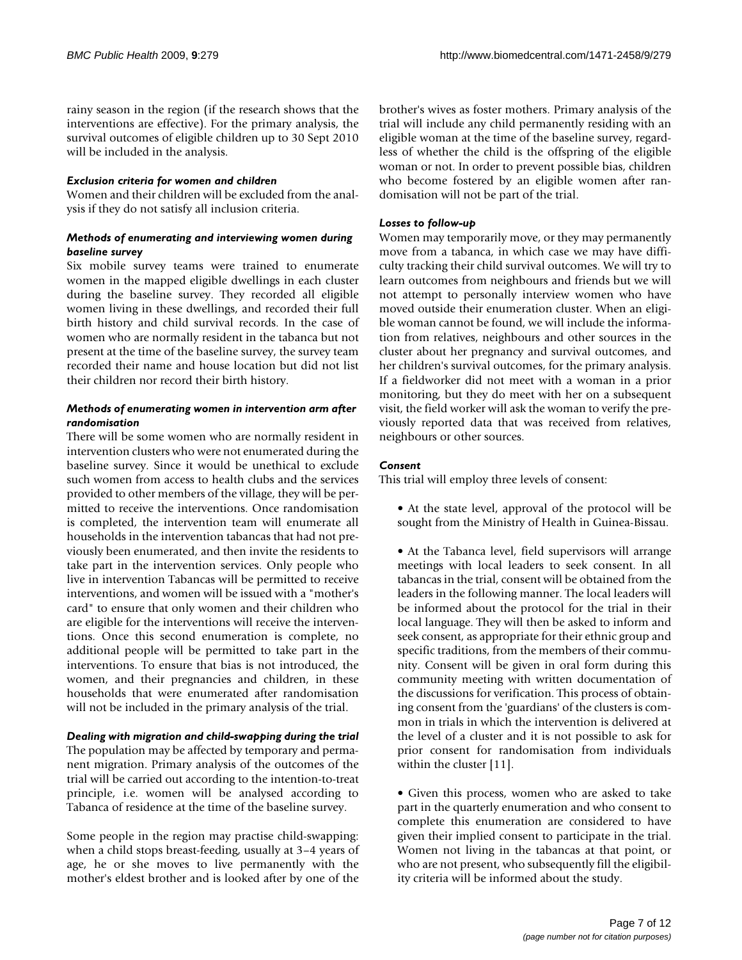rainy season in the region (if the research shows that the interventions are effective). For the primary analysis, the survival outcomes of eligible children up to 30 Sept 2010 will be included in the analysis.

#### *Exclusion criteria for women and children*

Women and their children will be excluded from the analysis if they do not satisfy all inclusion criteria.

### *Methods of enumerating and interviewing women during baseline survey*

Six mobile survey teams were trained to enumerate women in the mapped eligible dwellings in each cluster during the baseline survey. They recorded all eligible women living in these dwellings, and recorded their full birth history and child survival records. In the case of women who are normally resident in the tabanca but not present at the time of the baseline survey, the survey team recorded their name and house location but did not list their children nor record their birth history.

#### *Methods of enumerating women in intervention arm after randomisation*

There will be some women who are normally resident in intervention clusters who were not enumerated during the baseline survey. Since it would be unethical to exclude such women from access to health clubs and the services provided to other members of the village, they will be permitted to receive the interventions. Once randomisation is completed, the intervention team will enumerate all households in the intervention tabancas that had not previously been enumerated, and then invite the residents to take part in the intervention services. Only people who live in intervention Tabancas will be permitted to receive interventions, and women will be issued with a "mother's card" to ensure that only women and their children who are eligible for the interventions will receive the interventions. Once this second enumeration is complete, no additional people will be permitted to take part in the interventions. To ensure that bias is not introduced, the women, and their pregnancies and children, in these households that were enumerated after randomisation will not be included in the primary analysis of the trial.

### *Dealing with migration and child-swapping during the trial*

The population may be affected by temporary and permanent migration. Primary analysis of the outcomes of the trial will be carried out according to the intention-to-treat principle, i.e. women will be analysed according to Tabanca of residence at the time of the baseline survey.

Some people in the region may practise child-swapping: when a child stops breast-feeding, usually at 3–4 years of age, he or she moves to live permanently with the mother's eldest brother and is looked after by one of the brother's wives as foster mothers. Primary analysis of the trial will include any child permanently residing with an eligible woman at the time of the baseline survey, regardless of whether the child is the offspring of the eligible woman or not. In order to prevent possible bias, children who become fostered by an eligible women after randomisation will not be part of the trial.

### *Losses to follow-up*

Women may temporarily move, or they may permanently move from a tabanca, in which case we may have difficulty tracking their child survival outcomes. We will try to learn outcomes from neighbours and friends but we will not attempt to personally interview women who have moved outside their enumeration cluster. When an eligible woman cannot be found, we will include the information from relatives, neighbours and other sources in the cluster about her pregnancy and survival outcomes, and her children's survival outcomes, for the primary analysis. If a fieldworker did not meet with a woman in a prior monitoring, but they do meet with her on a subsequent visit, the field worker will ask the woman to verify the previously reported data that was received from relatives, neighbours or other sources.

### *Consent*

This trial will employ three levels of consent:

• At the state level, approval of the protocol will be sought from the Ministry of Health in Guinea-Bissau.

• At the Tabanca level, field supervisors will arrange meetings with local leaders to seek consent. In all tabancas in the trial, consent will be obtained from the leaders in the following manner. The local leaders will be informed about the protocol for the trial in their local language. They will then be asked to inform and seek consent, as appropriate for their ethnic group and specific traditions, from the members of their community. Consent will be given in oral form during this community meeting with written documentation of the discussions for verification. This process of obtaining consent from the 'guardians' of the clusters is common in trials in which the intervention is delivered at the level of a cluster and it is not possible to ask for prior consent for randomisation from individuals within the cluster [11].

• Given this process, women who are asked to take part in the quarterly enumeration and who consent to complete this enumeration are considered to have given their implied consent to participate in the trial. Women not living in the tabancas at that point, or who are not present, who subsequently fill the eligibility criteria will be informed about the study.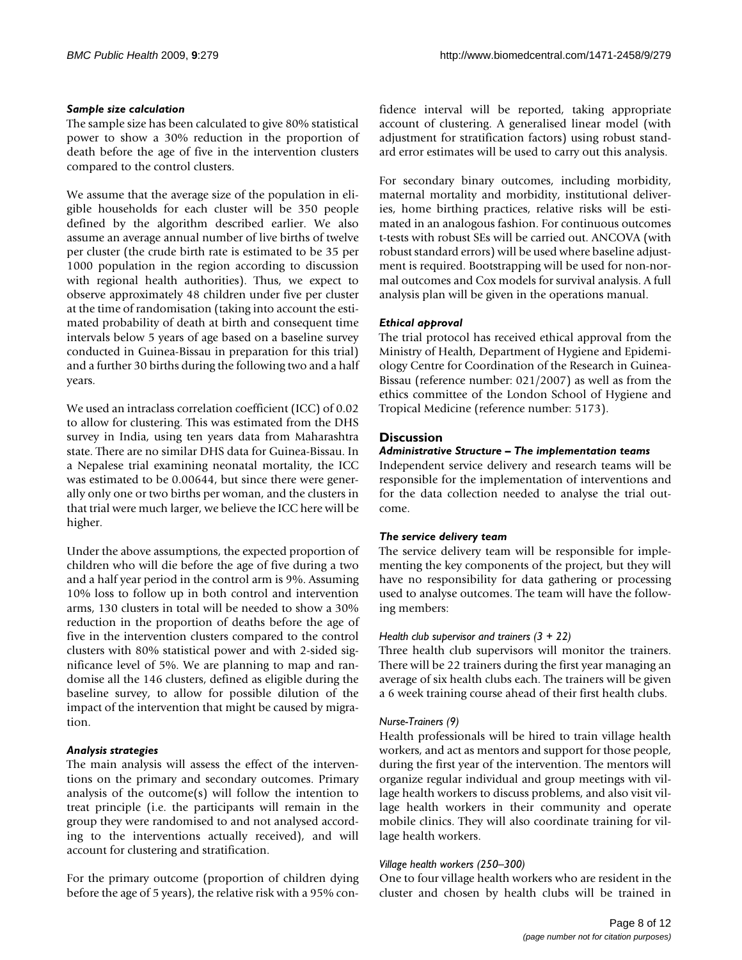#### *Sample size calculation*

The sample size has been calculated to give 80% statistical power to show a 30% reduction in the proportion of death before the age of five in the intervention clusters compared to the control clusters.

We assume that the average size of the population in eligible households for each cluster will be 350 people defined by the algorithm described earlier. We also assume an average annual number of live births of twelve per cluster (the crude birth rate is estimated to be 35 per 1000 population in the region according to discussion with regional health authorities). Thus, we expect to observe approximately 48 children under five per cluster at the time of randomisation (taking into account the estimated probability of death at birth and consequent time intervals below 5 years of age based on a baseline survey conducted in Guinea-Bissau in preparation for this trial) and a further 30 births during the following two and a half years.

We used an intraclass correlation coefficient (ICC) of 0.02 to allow for clustering. This was estimated from the DHS survey in India, using ten years data from Maharashtra state. There are no similar DHS data for Guinea-Bissau. In a Nepalese trial examining neonatal mortality, the ICC was estimated to be 0.00644, but since there were generally only one or two births per woman, and the clusters in that trial were much larger, we believe the ICC here will be higher.

Under the above assumptions, the expected proportion of children who will die before the age of five during a two and a half year period in the control arm is 9%. Assuming 10% loss to follow up in both control and intervention arms, 130 clusters in total will be needed to show a 30% reduction in the proportion of deaths before the age of five in the intervention clusters compared to the control clusters with 80% statistical power and with 2-sided significance level of 5%. We are planning to map and randomise all the 146 clusters, defined as eligible during the baseline survey, to allow for possible dilution of the impact of the intervention that might be caused by migration.

### *Analysis strategies*

The main analysis will assess the effect of the interventions on the primary and secondary outcomes. Primary analysis of the outcome(s) will follow the intention to treat principle (i.e. the participants will remain in the group they were randomised to and not analysed according to the interventions actually received), and will account for clustering and stratification.

For the primary outcome (proportion of children dying before the age of 5 years), the relative risk with a 95% confidence interval will be reported, taking appropriate account of clustering. A generalised linear model (with adjustment for stratification factors) using robust standard error estimates will be used to carry out this analysis.

For secondary binary outcomes, including morbidity, maternal mortality and morbidity, institutional deliveries, home birthing practices, relative risks will be estimated in an analogous fashion. For continuous outcomes t-tests with robust SEs will be carried out. ANCOVA (with robust standard errors) will be used where baseline adjustment is required. Bootstrapping will be used for non-normal outcomes and Cox models for survival analysis. A full analysis plan will be given in the operations manual.

# *Ethical approval*

The trial protocol has received ethical approval from the Ministry of Health, Department of Hygiene and Epidemiology Centre for Coordination of the Research in Guinea-Bissau (reference number: 021/2007) as well as from the ethics committee of the London School of Hygiene and Tropical Medicine (reference number: 5173).

# **Discussion**

### *Administrative Structure – The implementation teams*

Independent service delivery and research teams will be responsible for the implementation of interventions and for the data collection needed to analyse the trial outcome.

### *The service delivery team*

The service delivery team will be responsible for implementing the key components of the project, but they will have no responsibility for data gathering or processing used to analyse outcomes. The team will have the following members:

### *Health club supervisor and trainers (3 + 22)*

Three health club supervisors will monitor the trainers. There will be 22 trainers during the first year managing an average of six health clubs each. The trainers will be given a 6 week training course ahead of their first health clubs.

### *Nurse-Trainers (9)*

Health professionals will be hired to train village health workers, and act as mentors and support for those people, during the first year of the intervention. The mentors will organize regular individual and group meetings with village health workers to discuss problems, and also visit village health workers in their community and operate mobile clinics. They will also coordinate training for village health workers.

### *Village health workers (250–300)*

One to four village health workers who are resident in the cluster and chosen by health clubs will be trained in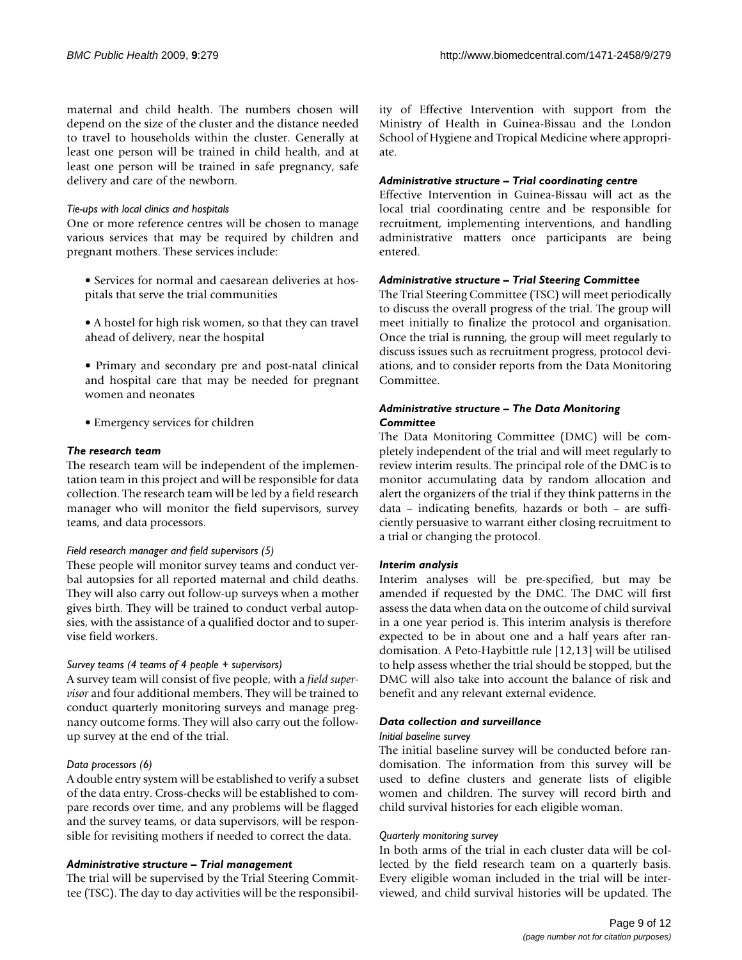maternal and child health. The numbers chosen will depend on the size of the cluster and the distance needed to travel to households within the cluster. Generally at least one person will be trained in child health, and at least one person will be trained in safe pregnancy, safe delivery and care of the newborn.

#### *Tie-ups with local clinics and hospitals*

One or more reference centres will be chosen to manage various services that may be required by children and pregnant mothers. These services include:

- Services for normal and caesarean deliveries at hospitals that serve the trial communities
- A hostel for high risk women, so that they can travel ahead of delivery, near the hospital
- Primary and secondary pre and post-natal clinical and hospital care that may be needed for pregnant women and neonates
- Emergency services for children

#### *The research team*

The research team will be independent of the implementation team in this project and will be responsible for data collection. The research team will be led by a field research manager who will monitor the field supervisors, survey teams, and data processors.

#### *Field research manager and field supervisors (5)*

These people will monitor survey teams and conduct verbal autopsies for all reported maternal and child deaths. They will also carry out follow-up surveys when a mother gives birth. They will be trained to conduct verbal autopsies, with the assistance of a qualified doctor and to supervise field workers.

#### *Survey teams (4 teams of 4 people + supervisors)*

A survey team will consist of five people, with a *field supervisor* and four additional members. They will be trained to conduct quarterly monitoring surveys and manage pregnancy outcome forms. They will also carry out the followup survey at the end of the trial.

#### *Data processors (6)*

A double entry system will be established to verify a subset of the data entry. Cross-checks will be established to compare records over time, and any problems will be flagged and the survey teams, or data supervisors, will be responsible for revisiting mothers if needed to correct the data.

#### *Administrative structure – Trial management*

The trial will be supervised by the Trial Steering Committee (TSC). The day to day activities will be the responsibility of Effective Intervention with support from the Ministry of Health in Guinea-Bissau and the London School of Hygiene and Tropical Medicine where appropriate.

#### *Administrative structure – Trial coordinating centre*

Effective Intervention in Guinea-Bissau will act as the local trial coordinating centre and be responsible for recruitment, implementing interventions, and handling administrative matters once participants are being entered.

#### *Administrative structure – Trial Steering Committee*

The Trial Steering Committee (TSC) will meet periodically to discuss the overall progress of the trial. The group will meet initially to finalize the protocol and organisation. Once the trial is running, the group will meet regularly to discuss issues such as recruitment progress, protocol deviations, and to consider reports from the Data Monitoring Committee.

#### *Administrative structure – The Data Monitoring Committee*

The Data Monitoring Committee (DMC) will be completely independent of the trial and will meet regularly to review interim results. The principal role of the DMC is to monitor accumulating data by random allocation and alert the organizers of the trial if they think patterns in the data – indicating benefits, hazards or both – are sufficiently persuasive to warrant either closing recruitment to a trial or changing the protocol.

#### *Interim analysis*

Interim analyses will be pre-specified, but may be amended if requested by the DMC. The DMC will first assess the data when data on the outcome of child survival in a one year period is. This interim analysis is therefore expected to be in about one and a half years after randomisation. A Peto-Haybittle rule [12,13] will be utilised to help assess whether the trial should be stopped, but the DMC will also take into account the balance of risk and benefit and any relevant external evidence.

#### *Data collection and surveillance*

#### *Initial baseline survey*

The initial baseline survey will be conducted before randomisation. The information from this survey will be used to define clusters and generate lists of eligible women and children. The survey will record birth and child survival histories for each eligible woman.

#### *Quarterly monitoring survey*

In both arms of the trial in each cluster data will be collected by the field research team on a quarterly basis. Every eligible woman included in the trial will be interviewed, and child survival histories will be updated. The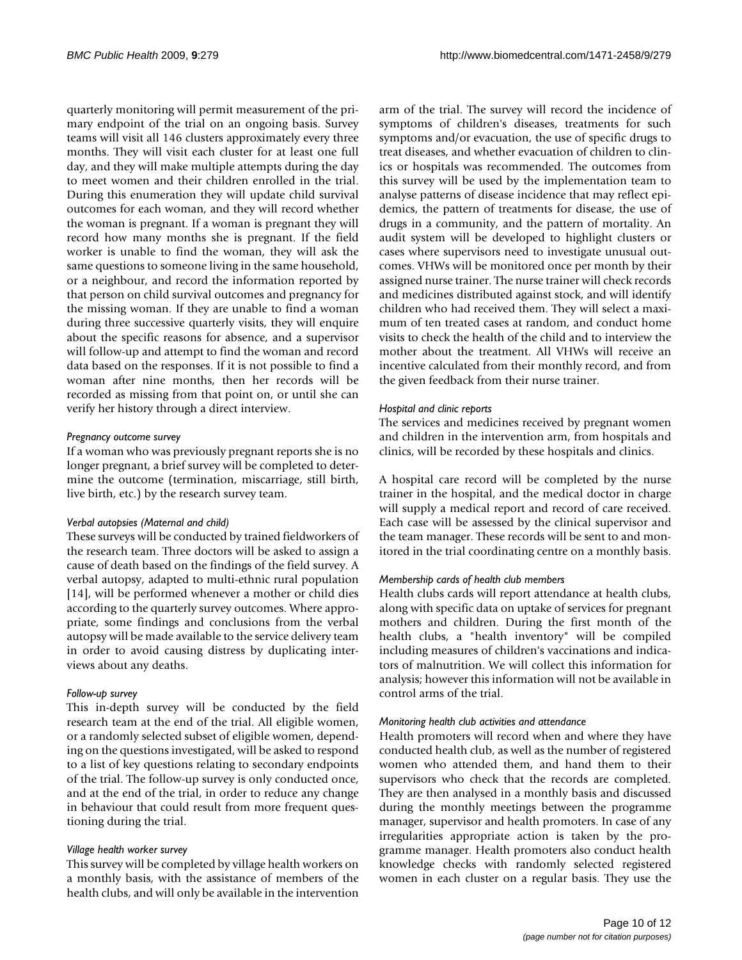quarterly monitoring will permit measurement of the primary endpoint of the trial on an ongoing basis. Survey teams will visit all 146 clusters approximately every three months. They will visit each cluster for at least one full day, and they will make multiple attempts during the day to meet women and their children enrolled in the trial. During this enumeration they will update child survival outcomes for each woman, and they will record whether the woman is pregnant. If a woman is pregnant they will record how many months she is pregnant. If the field worker is unable to find the woman, they will ask the same questions to someone living in the same household, or a neighbour, and record the information reported by that person on child survival outcomes and pregnancy for the missing woman. If they are unable to find a woman during three successive quarterly visits, they will enquire about the specific reasons for absence, and a supervisor will follow-up and attempt to find the woman and record data based on the responses. If it is not possible to find a woman after nine months, then her records will be recorded as missing from that point on, or until she can verify her history through a direct interview.

#### *Pregnancy outcome survey*

If a woman who was previously pregnant reports she is no longer pregnant, a brief survey will be completed to determine the outcome (termination, miscarriage, still birth, live birth, etc.) by the research survey team.

### *Verbal autopsies (Maternal and child)*

These surveys will be conducted by trained fieldworkers of the research team. Three doctors will be asked to assign a cause of death based on the findings of the field survey. A verbal autopsy, adapted to multi-ethnic rural population [14], will be performed whenever a mother or child dies according to the quarterly survey outcomes. Where appropriate, some findings and conclusions from the verbal autopsy will be made available to the service delivery team in order to avoid causing distress by duplicating interviews about any deaths.

#### *Follow-up survey*

This in-depth survey will be conducted by the field research team at the end of the trial. All eligible women, or a randomly selected subset of eligible women, depending on the questions investigated, will be asked to respond to a list of key questions relating to secondary endpoints of the trial. The follow-up survey is only conducted once, and at the end of the trial, in order to reduce any change in behaviour that could result from more frequent questioning during the trial.

### *Village health worker survey*

This survey will be completed by village health workers on a monthly basis, with the assistance of members of the health clubs, and will only be available in the intervention

arm of the trial. The survey will record the incidence of symptoms of children's diseases, treatments for such symptoms and/or evacuation, the use of specific drugs to treat diseases, and whether evacuation of children to clinics or hospitals was recommended. The outcomes from this survey will be used by the implementation team to analyse patterns of disease incidence that may reflect epidemics, the pattern of treatments for disease, the use of drugs in a community, and the pattern of mortality. An audit system will be developed to highlight clusters or cases where supervisors need to investigate unusual outcomes. VHWs will be monitored once per month by their assigned nurse trainer. The nurse trainer will check records and medicines distributed against stock, and will identify children who had received them. They will select a maximum of ten treated cases at random, and conduct home visits to check the health of the child and to interview the mother about the treatment. All VHWs will receive an incentive calculated from their monthly record, and from the given feedback from their nurse trainer.

#### *Hospital and clinic reports*

The services and medicines received by pregnant women and children in the intervention arm, from hospitals and clinics, will be recorded by these hospitals and clinics.

A hospital care record will be completed by the nurse trainer in the hospital, and the medical doctor in charge will supply a medical report and record of care received. Each case will be assessed by the clinical supervisor and the team manager. These records will be sent to and monitored in the trial coordinating centre on a monthly basis.

### *Membership cards of health club members*

Health clubs cards will report attendance at health clubs, along with specific data on uptake of services for pregnant mothers and children. During the first month of the health clubs, a "health inventory" will be compiled including measures of children's vaccinations and indicators of malnutrition. We will collect this information for analysis; however this information will not be available in control arms of the trial.

### *Monitoring health club activities and attendance*

Health promoters will record when and where they have conducted health club, as well as the number of registered women who attended them, and hand them to their supervisors who check that the records are completed. They are then analysed in a monthly basis and discussed during the monthly meetings between the programme manager, supervisor and health promoters. In case of any irregularities appropriate action is taken by the programme manager. Health promoters also conduct health knowledge checks with randomly selected registered women in each cluster on a regular basis. They use the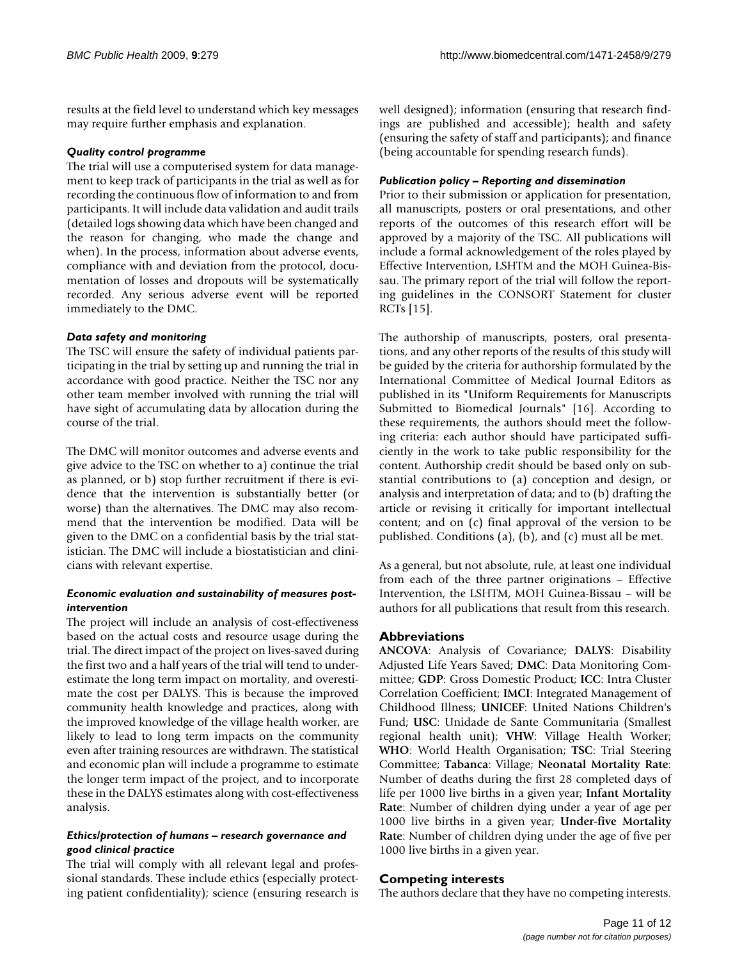results at the field level to understand which key messages may require further emphasis and explanation.

#### *Quality control programme*

The trial will use a computerised system for data management to keep track of participants in the trial as well as for recording the continuous flow of information to and from participants. It will include data validation and audit trails (detailed logs showing data which have been changed and the reason for changing, who made the change and when). In the process, information about adverse events, compliance with and deviation from the protocol, documentation of losses and dropouts will be systematically recorded. Any serious adverse event will be reported immediately to the DMC.

### *Data safety and monitoring*

The TSC will ensure the safety of individual patients participating in the trial by setting up and running the trial in accordance with good practice. Neither the TSC nor any other team member involved with running the trial will have sight of accumulating data by allocation during the course of the trial.

The DMC will monitor outcomes and adverse events and give advice to the TSC on whether to a) continue the trial as planned, or b) stop further recruitment if there is evidence that the intervention is substantially better (or worse) than the alternatives. The DMC may also recommend that the intervention be modified. Data will be given to the DMC on a confidential basis by the trial statistician. The DMC will include a biostatistician and clinicians with relevant expertise.

#### *Economic evaluation and sustainability of measures postintervention*

The project will include an analysis of cost-effectiveness based on the actual costs and resource usage during the trial. The direct impact of the project on lives-saved during the first two and a half years of the trial will tend to underestimate the long term impact on mortality, and overestimate the cost per DALYS. This is because the improved community health knowledge and practices, along with the improved knowledge of the village health worker, are likely to lead to long term impacts on the community even after training resources are withdrawn. The statistical and economic plan will include a programme to estimate the longer term impact of the project, and to incorporate these in the DALYS estimates along with cost-effectiveness analysis.

#### *Ethics/protection of humans – research governance and good clinical practice*

The trial will comply with all relevant legal and professional standards. These include ethics (especially protecting patient confidentiality); science (ensuring research is well designed); information (ensuring that research findings are published and accessible); health and safety (ensuring the safety of staff and participants); and finance (being accountable for spending research funds).

### *Publication policy – Reporting and dissemination*

Prior to their submission or application for presentation, all manuscripts, posters or oral presentations, and other reports of the outcomes of this research effort will be approved by a majority of the TSC. All publications will include a formal acknowledgement of the roles played by Effective Intervention, LSHTM and the MOH Guinea-Bissau. The primary report of the trial will follow the reporting guidelines in the CONSORT Statement for cluster RCTs [15].

The authorship of manuscripts, posters, oral presentations, and any other reports of the results of this study will be guided by the criteria for authorship formulated by the International Committee of Medical Journal Editors as published in its "Uniform Requirements for Manuscripts Submitted to Biomedical Journals" [16]. According to these requirements, the authors should meet the following criteria: each author should have participated sufficiently in the work to take public responsibility for the content. Authorship credit should be based only on substantial contributions to (a) conception and design, or analysis and interpretation of data; and to (b) drafting the article or revising it critically for important intellectual content; and on (c) final approval of the version to be published. Conditions (a), (b), and (c) must all be met.

As a general, but not absolute, rule, at least one individual from each of the three partner originations – Effective Intervention, the LSHTM, MOH Guinea-Bissau – will be authors for all publications that result from this research.

### **Abbreviations**

**ANCOVA**: Analysis of Covariance; **DALYS**: Disability Adjusted Life Years Saved; **DMC**: Data Monitoring Committee; **GDP**: Gross Domestic Product; **ICC**: Intra Cluster Correlation Coefficient; **IMCI**: Integrated Management of Childhood Illness; **UNICEF**: United Nations Children's Fund; **USC**: Unidade de Sante Communitaria (Smallest regional health unit); **VHW**: Village Health Worker; **WHO**: World Health Organisation; **TSC**: Trial Steering Committee; **Tabanca**: Village; **Neonatal Mortality Rate**: Number of deaths during the first 28 completed days of life per 1000 live births in a given year; **Infant Mortality Rate**: Number of children dying under a year of age per 1000 live births in a given year; **Under-five Mortality Rate**: Number of children dying under the age of five per 1000 live births in a given year.

# **Competing interests**

The authors declare that they have no competing interests.